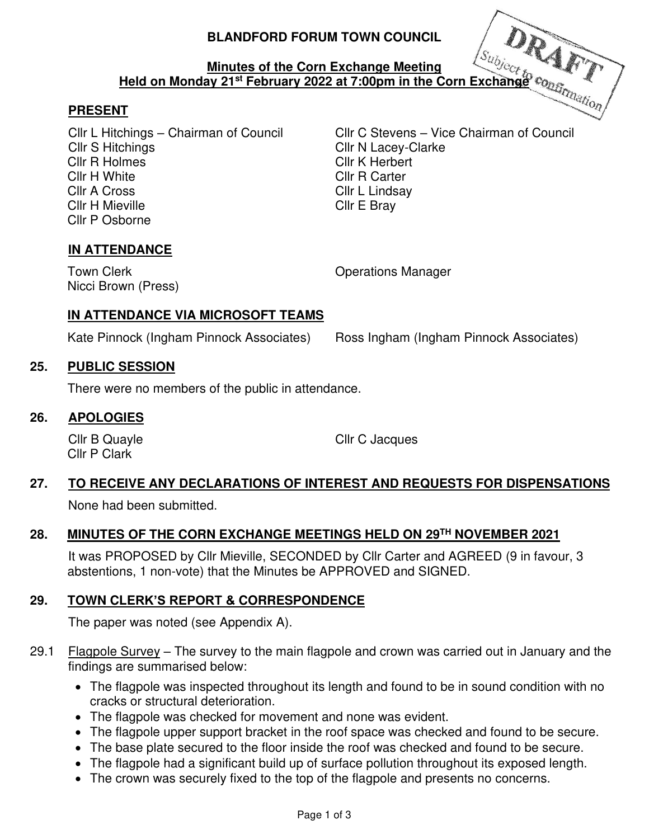### **BLANDFORD FORUM TOWN COUNCIL**

#### **Minutes of the Corn Exchange Meeting Held on Monday 21st February 2022 at 7:00pm in the Corn Exchange**

### **PRESENT**

Cllr S Hitchings Cllr N Lacey-Clarke Cllr R Holmes Cllr K Herbert Cllr H White Cllr R Carter Cllr A Cross Cllr L Lindsay Cllr H Mieville **Cllr** E Bray Cllr P Osborne

Cllr L Hitchings – Chairman of Council Cllr C Stevens – Vice Chairman of Council

### **IN ATTENDANCE**

Nicci Brown (Press)

Town Clerk **Town Clerk Clerge Clerge Clerge Clerge Clerge Clerge Clerge Clerge Clerge Clerge Clerge Clerge Clerge Clerge Clerge Clerge Clerge Clerge Clerge Clerge Clerge Clerge Clerge Clerge Clerge Clerge Clerge Clerge C** 

### **IN ATTENDANCE VIA MICROSOFT TEAMS**

Kate Pinnock (Ingham Pinnock Associates) Ross Ingham (Ingham Pinnock Associates)

### **25. PUBLIC SESSION**

There were no members of the public in attendance.

#### **26. APOLOGIES**

Cllr P Clark

Cllr B Quayle Cllr C Jacques

# **27. TO RECEIVE ANY DECLARATIONS OF INTEREST AND REQUESTS FOR DISPENSATIONS**

None had been submitted.

## **28. MINUTES OF THE CORN EXCHANGE MEETINGS HELD ON 29TH NOVEMBER 2021**

 It was PROPOSED by Cllr Mieville, SECONDED by Cllr Carter and AGREED (9 in favour, 3 abstentions, 1 non-vote) that the Minutes be APPROVED and SIGNED.

## **29. TOWN CLERK'S REPORT & CORRESPONDENCE**

The paper was noted (see Appendix A).

- 29.1 Flagpole Survey The survey to the main flagpole and crown was carried out in January and the findings are summarised below:
	- The flagpole was inspected throughout its length and found to be in sound condition with no cracks or structural deterioration.
	- The flagpole was checked for movement and none was evident.
	- The flagpole upper support bracket in the roof space was checked and found to be secure.
	- The base plate secured to the floor inside the roof was checked and found to be secure.
	- The flagpole had a significant build up of surface pollution throughout its exposed length.
	- The crown was securely fixed to the top of the flagpole and presents no concerns.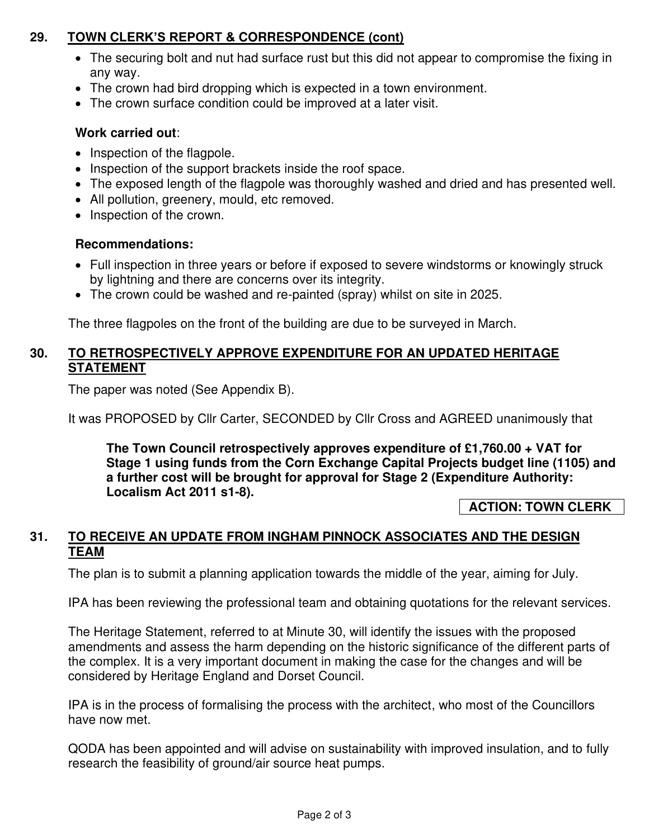### **29. TOWN CLERK'S REPORT & CORRESPONDENCE (cont)**

- The securing bolt and nut had surface rust but this did not appear to compromise the fixing in any way.
- The crown had bird dropping which is expected in a town environment.
- The crown surface condition could be improved at a later visit.

### **Work carried out**:

- Inspection of the flagpole.
- Inspection of the support brackets inside the roof space.
- The exposed length of the flagpole was thoroughly washed and dried and has presented well.
- All pollution, greenery, mould, etc removed.
- Inspection of the crown.

### **Recommendations:**

- Full inspection in three years or before if exposed to severe windstorms or knowingly struck by lightning and there are concerns over its integrity.
- The crown could be washed and re-painted (spray) whilst on site in 2025.

The three flagpoles on the front of the building are due to be surveyed in March.

### **30. TO RETROSPECTIVELY APPROVE EXPENDITURE FOR AN UPDATED HERITAGE STATEMENT**

The paper was noted (See Appendix B).

It was PROPOSED by Cllr Carter, SECONDED by Cllr Cross and AGREED unanimously that

**The Town Council retrospectively approves expenditure of £1,760.00 + VAT for Stage 1 using funds from the Corn Exchange Capital Projects budget line (1105) and a further cost will be brought for approval for Stage 2 (Expenditure Authority: Localism Act 2011 s1-8).** 

 **ACTION: TOWN CLERK** 

### **31. TO RECEIVE AN UPDATE FROM INGHAM PINNOCK ASSOCIATES AND THE DESIGN TEAM**

The plan is to submit a planning application towards the middle of the year, aiming for July.

IPA has been reviewing the professional team and obtaining quotations for the relevant services.

The Heritage Statement, referred to at Minute 30, will identify the issues with the proposed amendments and assess the harm depending on the historic significance of the different parts of the complex. It is a very important document in making the case for the changes and will be considered by Heritage England and Dorset Council.

IPA is in the process of formalising the process with the architect, who most of the Councillors have now met.

QODA has been appointed and will advise on sustainability with improved insulation, and to fully research the feasibility of ground/air source heat pumps.